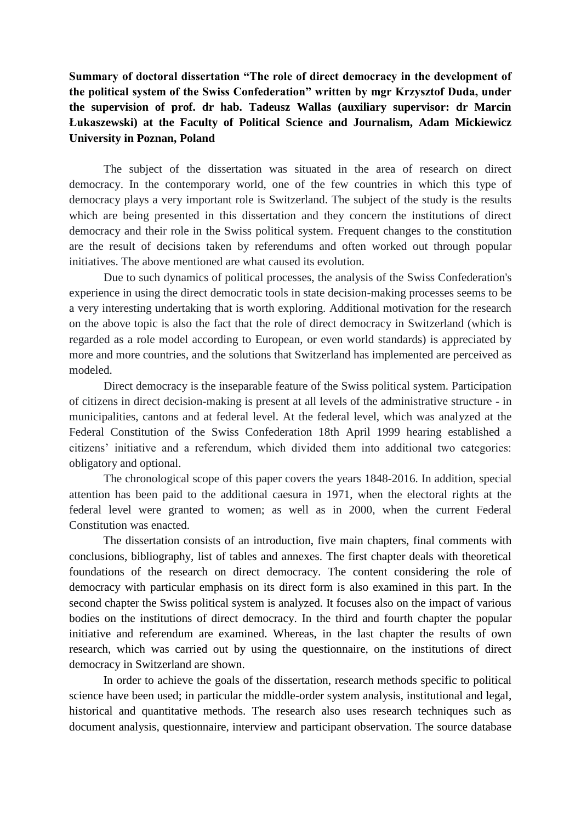**Summary of doctoral dissertation "The role of direct democracy in the development of the political system of the Swiss Confederation" written by mgr Krzysztof Duda, under the supervision of prof. dr hab. Tadeusz Wallas (auxiliary supervisor: dr Marcin Łukaszewski) at the Faculty of Political Science and Journalism, Adam Mickiewicz University in Poznan, Poland**

The subject of the dissertation was situated in the area of research on direct democracy. In the contemporary world, one of the few countries in which this type of democracy plays a very important role is Switzerland. The subject of the study is the results which are being presented in this dissertation and they concern the institutions of direct democracy and their role in the Swiss political system. Frequent changes to the constitution are the result of decisions taken by referendums and often worked out through popular initiatives. The above mentioned are what caused its evolution.

Due to such dynamics of political processes, the analysis of the Swiss Confederation's experience in using the direct democratic tools in state decision-making processes seems to be a very interesting undertaking that is worth exploring. Additional motivation for the research on the above topic is also the fact that the role of direct democracy in Switzerland (which is regarded as a role model according to European, or even world standards) is appreciated by more and more countries, and the solutions that Switzerland has implemented are perceived as modeled.

Direct democracy is the inseparable feature of the Swiss political system. Participation of citizens in direct decision-making is present at all levels of the administrative structure - in municipalities, cantons and at federal level. At the federal level, which was analyzed at the Federal Constitution of the Swiss Confederation 18th April 1999 hearing established a citizens' initiative and a referendum, which divided them into additional two categories: obligatory and optional.

The chronological scope of this paper covers the years 1848-2016. In addition, special attention has been paid to the additional caesura in 1971, when the electoral rights at the federal level were granted to women; as well as in 2000, when the current Federal Constitution was enacted.

The dissertation consists of an introduction, five main chapters, final comments with conclusions, bibliography, list of tables and annexes. The first chapter deals with theoretical foundations of the research on direct democracy. The content considering the role of democracy with particular emphasis on its direct form is also examined in this part. In the second chapter the Swiss political system is analyzed. It focuses also on the impact of various bodies on the institutions of direct democracy. In the third and fourth chapter the popular initiative and referendum are examined. Whereas, in the last chapter the results of own research, which was carried out by using the questionnaire, on the institutions of direct democracy in Switzerland are shown.

In order to achieve the goals of the dissertation, research methods specific to political science have been used; in particular the middle-order system analysis, institutional and legal, historical and quantitative methods. The research also uses research techniques such as document analysis, questionnaire, interview and participant observation. The source database